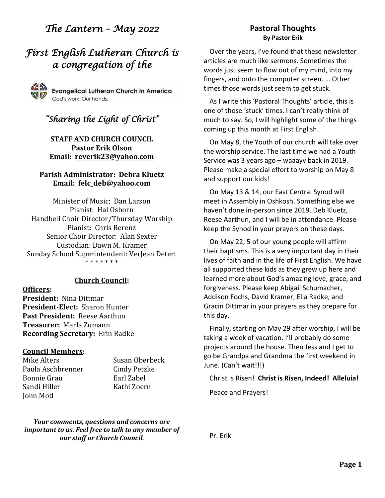# *The Lantern – May 2022*

# *First English Lutheran Church is a congregation of the*



# *"Sharing the Light of Christ"*

### **STAFF AND CHURCH COUNCIL Pastor Erik Olson Email: [reverik23@yahoo.com](about:blank)**

### **Parish Administrator: Debra Kluetz Email: [felc\\_deb@yahoo.com](about:blank)**

Minister of Music: Dan Larson Pianist: Hal Osborn Handbell Choir Director/Thursday Worship Pianist: Chris Berenz Senior Choir Director: Alan Sexter Custodian: Dawn M. Kramer Sunday School Superintendent: VerJean Detert \* \* \* \* \* \* \*

### **Church Council:**

**Officers: President:** Nina Dittmar **President-Elect:** Sharon Hunter **Past President:** Reese Aarthun **Treasurer:** Marla Zumann **Recording Secretary:** Erin Radke

### **Council Members:**

Mike Alters Susan Oberbeck Paula Aschbrenner Cindy Petzke Bonnie Grau Farl Zabel Sandi Hiller Kathi Zoern John Motl

*Your comments, questions and concerns are important to us. Feel free to talk to any member of our staff or Church Council.*

### **Pastoral Thoughts By Pastor Erik**

Over the years, I've found that these newsletter articles are much like sermons. Sometimes the words just seem to flow out of my mind, into my fingers, and onto the computer screen. … Other times those words just seem to get stuck.

As I write this 'Pastoral Thoughts' article, this is one of those 'stuck' times. I can't really think of much to say. So, I will highlight some of the things coming up this month at First English.

On May 8, the Youth of our church will take over the worship service. The last time we had a Youth Service was 3 years ago – waaayy back in 2019. Please make a special effort to worship on May 8 and support our kids!

On May 13 & 14, our East Central Synod will meet in Assembly in Oshkosh. Something else we haven't done in-person since 2019. Deb Kluetz, Reese Aarthun, and I will be in attendance. Please keep the Synod in your prayers on these days.

On May 22, 5 of our young people will affirm their baptisms. This is a very important day in their lives of faith and in the life of First English. We have all supported these kids as they grew up here and learned more about God's amazing love, grace, and forgiveness. Please keep Abigail Schumacher, Addison Fochs, David Kramer, Ella Radke, and Gracin Dittmar in your prayers as they prepare for this day.

Finally, starting on May 29 after worship, I will be taking a week of vacation. I'll probably do some projects around the house. Then Jess and I get to go be Grandpa and Grandma the first weekend in June. (Can't wait!!!)

Christ is Risen! **Christ is Risen, Indeed! Alleluia!**

Peace and Prayers!

Pr. Erik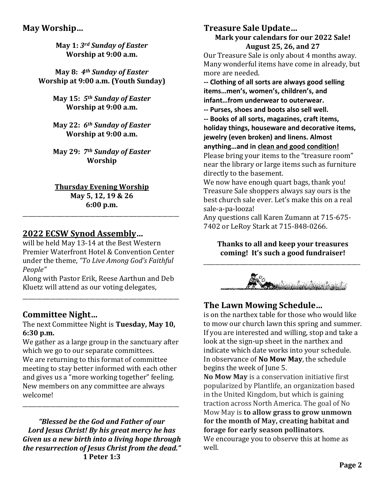## **May Worship…**

**May 1:** *3rd Sunday of Easter* **Worship at 9:00 a.m.**

**May 8:** *4th Sunday of Easter* **Worship at 9:00 a.m. (Youth Sunday)**

> **May 15:** *5th Sunday of Easter* **Worship at 9:00 a.m.**

> **May 22:** *6th Sunday of Easter* **Worship at 9:00 a.m.**

> **May 29:** *7th Sunday of Easter* **Worship**

**Thursday Evening Worship May 5, 12, 19 & 26**

**6:00 p.m.** \_\_\_\_\_\_\_\_\_\_\_\_\_\_\_\_\_\_\_\_\_\_\_\_\_\_\_\_\_\_\_\_\_\_\_\_\_\_\_\_\_\_\_\_\_\_\_\_\_\_\_\_\_\_\_\_

## **2022 ECSW Synod Assembly…**

will be held May 13-14 at the Best Western Premier Waterfront Hotel & Convention Center under the theme, *"To Live Among God's Faithful People"*

Along with Pastor Erik, Reese Aarthun and Deb Kluetz will attend as our voting delegates,

\_\_\_\_\_\_\_\_\_\_\_\_\_\_\_\_\_\_\_\_\_\_\_\_\_\_\_\_\_\_\_\_\_\_\_\_\_\_\_\_\_\_\_\_\_\_\_\_\_\_\_\_\_\_\_\_

## **Committee Night…**

The next Committee Night is **Tuesday, May 10, 6:30 p.m.**

We gather as a large group in the sanctuary after which we go to our separate committees. We are returning to this format of committee meeting to stay better informed with each other and gives us a "more working together" feeling. New members on any committee are always welcome!

\_\_\_\_\_\_\_\_\_\_\_\_\_\_\_\_\_\_\_\_\_\_\_\_\_\_\_\_\_\_\_\_\_\_\_\_\_\_\_\_\_\_\_\_\_\_\_\_\_\_\_\_\_\_\_\_

*"Blessed be the God and Father of our Lord Jesus Christ! By his great mercy he has Given us a new birth into a living hope through the resurrection of Jesus Christ from the dead."* **1 Peter 1:3**

### **Treasure Sale Update… Mark your calendars for our 2022 Sale! August 25, 26, and 27**

Our Treasure Sale is only about 4 months away. Many wonderful items have come in already, but more are needed.

**-- Clothing of all sorts are always good selling items…men's, women's, children's, and infant…from underwear to outerwear.** 

**-- Purses, shoes and boots also sell well.**

**-- Books of all sorts, magazines, craft items, holiday things, houseware and decorative items,** 

**jewelry (even broken) and linens. Almost** 

**anything…and in clean and good condition!**

Please bring your items to the "treasure room" near the library or large items such as furniture directly to the basement.

We now have enough quart bags, thank you! Treasure Sale shoppers always say ours is the best church sale ever. Let's make this on a real sale-a-pa-looza!

Any questions call Karen Zumann at 715-675- 7402 or LeRoy Stark at 715-848-0266.

**Thanks to all and keep your treasures coming! It's such a good fundraiser!**

\_\_\_\_\_\_\_\_\_\_\_\_\_\_\_\_\_\_\_\_\_\_\_\_\_\_\_\_\_\_\_\_\_\_\_\_\_\_\_\_\_\_\_\_\_\_\_\_\_\_\_\_\_\_\_\_



# **The Lawn Mowing Schedule…**

is on the narthex table for those who would like to mow our church lawn this spring and summer. If you are interested and willing, stop and take a look at the sign-up sheet in the narthex and indicate which date works into your schedule. In observance of **No Mow May**, the schedule begins the week of June 5.

**No Mow May** is a conservation initiative first popularized by Plantlife, an organization based in the United Kingdom, but which is gaining traction across North America. The goal of No Mow May is **to allow grass to grow unmown for the month of May, creating habitat and forage for early season pollinators**.

We encourage you to observe this at home as well.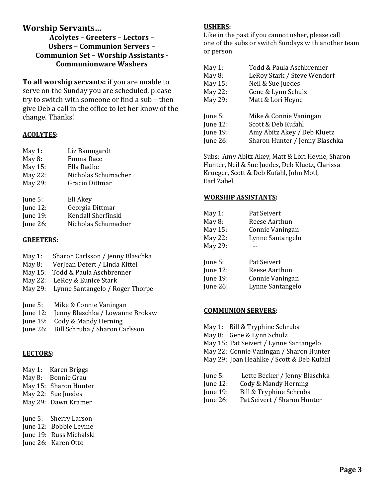## **Worship Servants…**

**Acolytes – Greeters – Lectors – Ushers – Communion Servers – Communion Set – Worship Assistants - Communionware Washers**

**To all worship servants:** if you are unable to serve on the Sunday you are scheduled, please try to switch with someone or find a sub – then give Deb a call in the office to let her know of the change. Thanks!

### **ACOLYTES:**

| May 1:    | Liz Baumgardt       |
|-----------|---------------------|
| May $8$ : | Emma Race           |
| May 15:   | Ella Radke          |
| May 22:   | Nicholas Schumacher |

May 29: Gracin Dittmar

| June 5:     | Eli Akey            |
|-------------|---------------------|
| June $12$ : | Georgia Dittmar     |
| June 19:    | Kendall Sherfinski  |
| June 26:    | Nicholas Schumacher |

### **GREETERS:**

| May $1:$ |  | Sharon Carlsson / Jenny Blaschka |
|----------|--|----------------------------------|
|----------|--|----------------------------------|

- May 8: VerJean Detert / Linda Kittel
- May 15: Todd & Paula Aschbrenner
- May 22: LeRoy & Eunice Stark
- May 29: Lynne Santangelo / Roger Thorpe
- June 5: Mike & Connie Vaningan
- June 12: Jenny Blaschka / Lowanne Brokaw
- June 19: Cody & Mandy Herning
- June 26: Bill Schruba / Sharon Carlsson

### **LECTORS:**

- May 1: Karen Briggs
- May 8: Bonnie Grau
- May 15: Sharon Hunter
- May 22: Sue Juedes
- May 29: Dawn Kramer
- June 5: Sherry Larson
- June 12: Bobbie Levine
- June 19: Russ Michalski
- June 26: Karen Otto

### **USHERS:**

Like in the past if you cannot usher, please call one of the subs or switch Sundays with another team or person.

| May 1:      | Todd & Paula Aschbrenner       |
|-------------|--------------------------------|
| May 8:      | LeRoy Stark / Steve Wendorf    |
| May 15:     | Neil & Sue Juedes              |
| May 22:     | Gene & Lynn Schulz             |
| May 29:     | Matt & Lori Heyne              |
|             |                                |
| June 5:     | Mike & Connie Vaningan         |
| June $12$ : | Scott & Deb Kufahl             |
| June 19:    | Amy Abitz Akey / Deb Kluetz    |
| June $26$ : | Sharon Hunter / Jenny Blaschka |
|             |                                |

Subs: Amy Abitz Akey, Matt & Lori Heyne, Sharon Hunter, Neil & Sue Juedes, Deb Kluetz, Clarissa Krueger, Scott & Deb Kufahl, John Motl, Earl Zabel

### **WORSHIP ASSISTANTS:**

| May 1:          | Pat Seivert      |
|-----------------|------------------|
| May $8:$        | Reese Aarthun    |
| May 15:         | Connie Vaningan  |
| May 22:         | Lynne Santangelo |
| May 29:         |                  |
| June 5:         | Pat Seivert      |
| June 12:        | Reese Aarthun    |
| <b>June 19:</b> | Connie Vaningan  |
| <b>June 26:</b> | Lynne Santangelo |

#### **COMMUNION SERVERS:**

- May 1: Bill & Tryphine Schruba
- May 8: Gene & Lynn Schulz
- May 15: Pat Seivert / Lynne Santangelo
- May 22: Connie Vaningan / Sharon Hunter
- May 29: Joan Heahlke / Scott & Deb Kufahl
- June 5: Lette Becker / Jenny Blaschka
- June 12: Cody & Mandy Herning
- June 19: Bill & Tryphine Schruba
- June 26: Pat Seivert / Sharon Hunter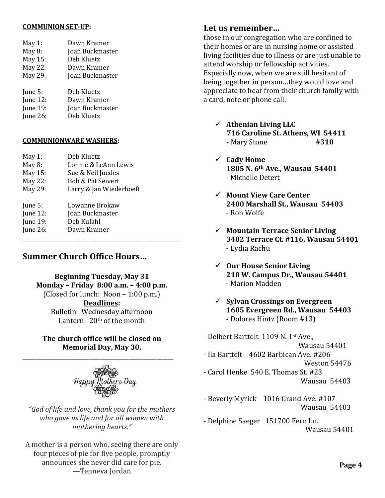#### **COMMUNION SET-UP:**

| May 1:          | Dawn Kramer     |
|-----------------|-----------------|
| May $8$ :       | Joan Buckmaster |
| May 15:         | Deb Kluetz      |
| May 22:         | Dawn Kramer     |
| May 29:         | Joan Buckmaster |
| June 5:         | Deb Kluetz      |
| June 12:        | Dawn Kramer     |
| <b>June 19:</b> | Joan Buckmaster |
| June $26$ :     | Deb Kluetz      |

#### **COMMUNIONWARE WASHERS:**

| May 1:      | Deb Kluetz                   |  |
|-------------|------------------------------|--|
| May $8$ :   | Lonnie & LeAnn Lewis         |  |
| May 15:     | Sue & Neil Juedes            |  |
| May 22:     | <b>Bob &amp; Pat Seivert</b> |  |
| May 29:     | Larry & Jan Wiederhoeft      |  |
| June $5:$   | Lowanne Brokaw               |  |
| June $12$ : | Joan Buckmaster              |  |
| June 19:    | Deb Kufahl                   |  |
| June $26$ : | Dawn Kramer                  |  |
|             |                              |  |

## **Summer Church Office Hours…**

**Beginning Tuesday, May 31 Monday – Friday 8:00 a.m. – 4:00 p.m.** (Closed for lunch: Noon  $-1:00$  p.m.) **Deadlines:** Bulletin: Wednesday afternoon Lantern: 20th of the month

### **The church office will be closed on Memorial Day, May 30.**

\_\_\_\_\_\_\_\_\_\_\_\_\_\_\_\_\_\_\_\_\_\_\_\_\_\_\_\_\_\_\_\_\_\_\_\_\_\_\_\_\_\_\_\_\_\_\_\_\_\_\_\_\_\_



*"God of life and love, thank you for the mothers who gave us life and for all women with mothering hearts."*

A mother is a person who, seeing there are only four pieces of pie for five people, promptly announces she never did care for pie. —Tenneva Jordan

### **Let us remember…**

those in our congregation who are confined to their homes or are in nursing home or assisted living facilities due to illness or are just unable to attend worship or fellowship activities. Especially now, when we are still hesitant of being together in person…they would love and appreciate to hear from their church family with a card, note or phone call.

- ✓ **Athenian Living LLC 716 Caroline St. Athens, WI 54411** - Mary Stone **#310**
- ✓ **Cady Home 1805 N. 6th Ave., Wausau 54401** - Michelle Detert
- ✓ **Mount View Care Center 2400 Marshall St., Wausau 54403** - Ron Wolfe
- ✓ **Mountain Terrace Senior Living 3402 Terrace Ct. #116, Wausau 54401** - Lydia Rachu
- ✓ **Our House Senior Living 210 W. Campus Dr., Wausau 54401** - Marion Madden
- ✓ **Sylvan Crossings on Evergreen 1605 Evergreen Rd., Wausau 54403** - Dolores Hintz (Room #13)

- Delbert Barttelt 1109 N. 1st Ave., Wausau 54401 - Ila Barttelt 4602 Barbican Ave. #206 Weston 54476 - Carol Henke 540 E. Thomas St. #23 Wausau 54403

- Beverly Myrick 1016 Grand Ave. #107 Wausau 54403
- Delphine Saeger 151700 Fern Ln. Wausau 54401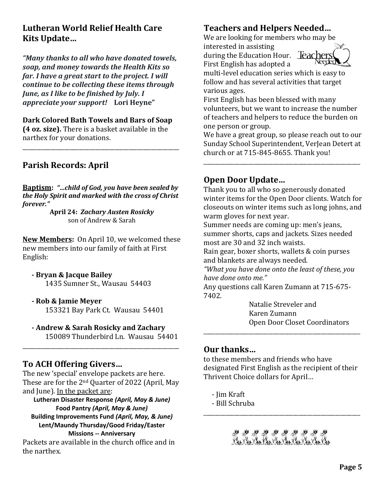# **Lutheran World Relief Health Care Kits Update…**

*"Many thanks to all who have donated towels, soap, and money towards the Health Kits so far. I have a great start to the project. I will continue to be collecting these items through June, as I like to be finished by July. I appreciate your support!* **Lori Heyne"**

### **Dark Colored Bath Towels and Bars of Soap**

**(4 oz. size).** There is a basket available in the narthex for your donations.

\_\_\_\_\_\_\_\_\_\_\_\_\_\_\_\_\_\_\_\_\_\_\_\_\_\_\_\_\_\_\_\_\_\_\_\_\_\_\_\_\_\_\_\_\_\_\_\_\_\_\_\_\_\_\_\_

# **Parish Records: April**

**Baptism:** *"…child of God, you have been sealed by the Holy Spirit and marked with the cross of Christ forever."*

> **April 24:** *Zachary Austen Rosicky* son of Andrew & Sarah

**New Members:** On April 10, we welcomed these new members into our family of faith at First English:

**- Bryan & Jacque Bailey** 1435 Sumner St., Wausau 54403

## **- Rob & Jamie Meyer**

153321 Bay Park Ct. Wausau 54401

## **- Andrew & Sarah Rosicky and Zachary**

\_\_\_\_\_\_\_\_\_\_\_\_\_\_\_\_\_\_\_\_\_\_\_\_\_\_\_\_\_\_\_\_\_\_\_\_\_\_\_\_\_\_\_\_\_\_\_\_\_\_\_\_\_\_\_\_

150089 Thunderbird Ln. Wausau 54401

## **To ACH Offering Givers…**

The new 'special' envelope packets are here. These are for the 2nd Quarter of 2022 (April, May and June). In the packet are:

**Lutheran Disaster Response** *(April, May & June)* **Food Pantry** *(April, May & June)* **Building Improvements Fund** *(April, May, & June)* **Lent/Maundy Thursday/Good Friday/Easter Missions -- Anniversary** 

Packets are available in the church office and in the narthex.

# **Teachers and Helpers Needed…**

We are looking for members who may be

interested in assisting during the Education Hour. **Teachers** First English has adopted a



multi-level education series which is easy to follow and has several activities that target various ages.

First English has been blessed with many volunteers, but we want to increase the number of teachers and helpers to reduce the burden on one person or group.

We have a great group, so please reach out to our Sunday School Superintendent, VerJean Detert at church or at 715-845-8655. Thank you!

\_\_\_\_\_\_\_\_\_\_\_\_\_\_\_\_\_\_\_\_\_\_\_\_\_\_\_\_\_\_\_\_\_\_\_\_\_\_\_\_\_\_\_\_\_\_\_\_\_\_\_\_\_\_\_\_

## **Open Door Update…**

Thank you to all who so generously donated winter items for the Open Door clients. Watch for closeouts on winter items such as long johns, and warm gloves for next year.

Summer needs are coming up: men's jeans, summer shorts, caps and jackets. Sizes needed most are 30 and 32 inch waists.

Rain gear, boxer shorts, wallets & coin purses and blankets are always needed.

*"What you have done onto the least of these, you have done onto me."*

Any questions call Karen Zumann at 715-675- 7402.

> Natalie Streveler and Karen Zumann Open Door Closet Coordinators

## **Our thanks…**

to these members and friends who have designated First English as the recipient of their Thrivent Choice dollars for April…

\_\_\_\_\_\_\_\_\_\_\_\_\_\_\_\_\_\_\_\_\_\_\_\_\_\_\_\_\_\_\_\_\_\_\_\_\_\_\_\_\_\_\_\_\_\_\_\_\_\_\_\_\_\_\_\_

- Jim Kraft
- Bill Schruba

Mar Van Van Van Van Van Van Van Van

\_\_\_\_\_\_\_\_\_\_\_\_\_\_\_\_\_\_\_\_\_\_\_\_\_\_\_\_\_\_\_\_\_\_\_\_\_\_\_\_\_\_\_\_\_\_\_\_\_\_\_\_\_\_\_\_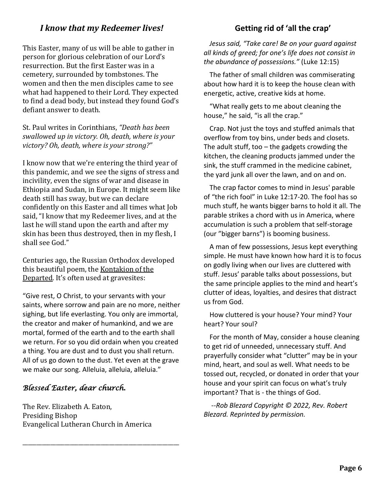# *I know that my Redeemer lives!*

This Easter, many of us will be able to gather in person for glorious celebration of our Lord's resurrection. But the first Easter was in a cemetery, surrounded by tombstones. The women and then the men disciples came to see what had happened to their Lord. They expected to find a dead body, but instead they found God's defiant answer to death.

St. Paul writes in Corinthians, *"Death has been swallowed up in victory. Oh, death, where is your victory? Oh, death, where is your strong?"*

I know now that we're entering the third year of this pandemic, and we see the signs of stress and incivility, even the signs of war and disease in Ethiopia and Sudan, in Europe. It might seem like death still has sway, but we can declare confidently on this Easter and all times what Job said, "I know that my Redeemer lives, and at the last he will stand upon the earth and after my skin has been thus destroyed, then in my flesh, I shall see God."

Centuries ago, the Russian Orthodox developed this beautiful poem, the Kontakion of the Departed. It's often used at gravesites:

"Give rest, O Christ, to your servants with your saints, where sorrow and pain are no more, neither sighing, but life everlasting. You only are immortal, the creator and maker of humankind, and we are mortal, formed of the earth and to the earth shall we return. For so you did ordain when you created a thing. You are dust and to dust you shall return. All of us go down to the dust. Yet even at the grave we make our song. Alleluia, alleluia, alleluia."

## *Blessed Easter, dear church.*

The Rev. Elizabeth A. Eaton, Presiding Bishop Evangelical Lutheran Church in America

\_\_\_\_\_\_\_\_\_\_\_\_\_\_\_\_\_\_\_\_\_\_\_\_\_\_\_\_\_\_\_\_\_\_\_\_\_\_\_\_\_\_\_\_\_\_\_\_\_\_\_\_\_\_\_\_

## **Getting rid of 'all the crap'**

*Jesus said, "Take care! Be on your guard against all kinds of greed; for one's life does not consist in the abundance of possessions."* (Luke 12:15)

The father of small children was commiserating about how hard it is to keep the house clean with energetic, active, creative kids at home.

"What really gets to me about cleaning the house," he said, "is all the crap."

Crap. Not just the toys and stuffed animals that overflow from toy bins, under beds and closets. The adult stuff, too  $-$  the gadgets crowding the kitchen, the cleaning products jammed under the sink, the stuff crammed in the medicine cabinet, the yard junk all over the lawn, and on and on.

The crap factor comes to mind in Jesus' parable of "the rich fool" in Luke 12:17-20. The fool has so much stuff, he wants bigger barns to hold it all. The parable strikes a chord with us in America, where accumulation is such a problem that self-storage (our "bigger barns") is booming business.

A man of few possessions, Jesus kept everything simple. He must have known how hard it is to focus on godly living when our lives are cluttered with stuff. Jesus' parable talks about possessions, but the same principle applies to the mind and heart's clutter of ideas, loyalties, and desires that distract us from God.

How cluttered is your house? Your mind? Your heart? Your soul?

For the month of May, consider a house cleaning to get rid of unneeded, unnecessary stuff. And prayerfully consider what "clutter" may be in your mind, heart, and soul as well. What needs to be tossed out, recycled, or donated in order that your house and your spirit can focus on what's truly important? That is - the things of God.

*--Rob Blezard Copyright © 2022, Rev. Robert Blezard. Reprinted by permission.*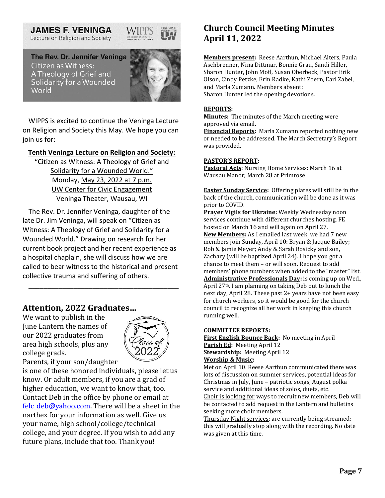#### **JAMES F. VENINGA** Lecture on Religion and Society



The Rev. Dr. Jennifer Veninga Citizen as Witness: A Theology of Grief and Solidarity for a Wounded World



WIPPS is excited to continue the Veninga Lecture on Religion and Society this May. We hope you can join us for:

### **[Tenth Veninga Lecture on Religion and Society:](about:blank)**

["Citizen as Witness: A Theology of Grief and](about:blank)  [Solidarity for a Wounded World."](about:blank) Monday, [May 23, 2022 at 7 p.m.](about:blank) [UW Center for Civic Engagement](about:blank) [Veninga Theater, Wausau, WI](about:blank)

The Rev. Dr. Jennifer Veninga, daughter of the late Dr. Jim Veninga, will speak on "Citizen as Witness: A Theology of Grief and Solidarity for a Wounded World." Drawing on research for her current book project and her recent experience as a hospital chaplain, she will discuss how we are called to bear witness to the historical and present collective trauma and suffering of others.

\_\_\_\_\_\_\_\_\_\_\_\_\_\_\_\_\_\_\_\_\_\_\_\_\_\_\_\_\_\_\_\_\_\_\_\_\_\_\_\_

## **Attention, 2022 Graduates…**

We want to publish in the June Lantern the names of our 2022 graduates from area high schools, plus any college grads.



Parents, if your son/daughter

is one of these honored individuals, please let us know. Or adult members, if you are a grad of higher education, we want to know that, too. Contact Deb in the office by phone or email at felc  $deb@vahoo.com$ . There will be a sheet in the narthex for your information as well. Give us your name, high school/college/technical college, and your degree. If you wish to add any future plans, include that too. Thank you!

# **Church Council Meeting Minutes April 11, 2022**

**Members present:** Reese Aarthun, Michael Alters, Paula Aschbrenner, Nina Dittmar, Bonnie Grau, Sandi Hiller, Sharon Hunter, John Motl, Susan Oberbeck, Pastor Erik Olson, Cindy Petzke, Erin Radke, Kathi Zoern, Earl Zabel, and Marla Zumann. Members absent: Sharon Hunter led the opening devotions.

#### **REPORTS:**

**Minutes:** The minutes of the March meeting were approved via email.

**Financial Reports:** Marla Zumann reported nothing new or needed to be addressed. The March Secretary's Report was provided.

#### **PASTOR'S REPORT:**

**Pastoral Acts**: Nursing Home Services: March 16 at Wausau Manor; March 28 at Primrose

**Easter Sunday Service:** Offering plates will still be in the back of the church, communication will be done as it was prior to COVID.

**Prayer Vigils for Ukraine:** Weekly Wednesday noon services continue with different churches hosting. FE hosted on March 16 and will again on April 27. **New Members:** As I emailed last week, we had 7 new members join Sunday, April 10: Bryan & Jacque Bailey; Rob & Jamie Meyer; Andy & Sarah Rosicky and son, Zachary (will be baptized April 24). I hope you got a chance to meet them – or will soon. Request to add members' phone numbers when added to the "master" list. **Administrative Professionals Day:** is coming up on Wed., April 27th. I am planning on taking Deb out to lunch the next day, April 28. These past 2+ years have not been easy for church workers, so it would be good for the church council to recognize all her work in keeping this church running well.

#### **COMMITTEE REPORTS:**

**First English Bounce Back:** No meeting in April **Parish Ed:** Meeting April 12 **Stewardship:** Meeting April 12 **Worship & Music:**

Met on April 10. Reese Aarthun communicated there was lots of discussion on summer services, potential ideas for Christmas in July, June – patriotic songs, August polka service and additional ideas of solos, duets, etc. Choir is looking for ways to recruit new members, Deb will be contacted to add request in the Lantern and bulletins seeking more choir members.

Thursday Night services: are currently being streamed; this will gradually stop along with the recording. No date was given at this time.